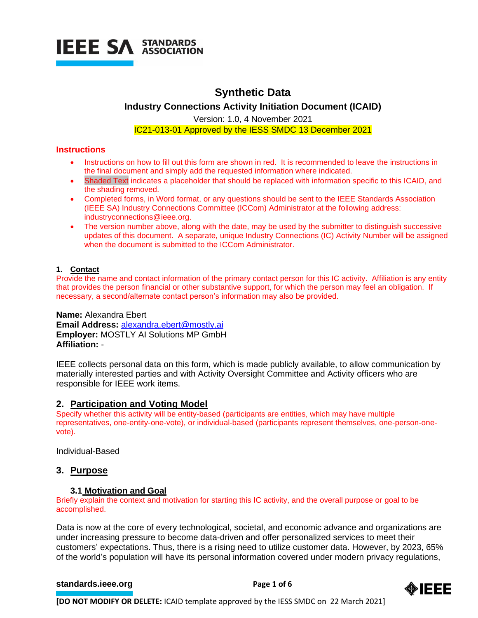

# **Synthetic Data**

# **Industry Connections Activity Initiation Document (ICAID)**

Version: 1.0, 4 November 2021 IC21-013-01 Approved by the IESS SMDC 13 December 2021

# **Instructions**

- Instructions on how to fill out this form are shown in red. It is recommended to leave the instructions in the final document and simply add the requested information where indicated.
- Shaded Text indicates a placeholder that should be replaced with information specific to this ICAID, and the shading removed.
- Completed forms, in Word format, or any questions should be sent to the IEEE Standards Association (IEEE SA) Industry Connections Committee (ICCom) Administrator at the following address: [industryconnections@ieee.org.](mailto:industryconnections@ieee.org)
- The version number above, along with the date, may be used by the submitter to distinguish successive updates of this document. A separate, unique Industry Connections (IC) Activity Number will be assigned when the document is submitted to the ICCom Administrator.

# **1. Contact**

Provide the name and contact information of the primary contact person for this IC activity. Affiliation is any entity that provides the person financial or other substantive support, for which the person may feel an obligation. If necessary, a second/alternate contact person's information may also be provided.

**Name:** Alexandra Ebert **Email Address:** [alexandra.ebert@mostly.ai](mailto:alexandra.ebert@mostly.ai) **Employer:** MOSTLY AI Solutions MP GmbH **Affiliation:** -

IEEE collects personal data on this form, which is made publicly available, to allow communication by materially interested parties and with Activity Oversight Committee and Activity officers who are responsible for IEEE work items.

# **2. Participation and Voting Model**

Specify whether this activity will be entity-based (participants are entities, which may have multiple representatives, one-entity-one-vote), or individual-based (participants represent themselves, one-person-onevote).

Individual-Based

# **3. Purpose**

# **3.1 Motivation and Goal**

Briefly explain the context and motivation for starting this IC activity, and the overall purpose or goal to be accomplished.

Data is now at the core of every technological, societal, and economic advance and organizations are under increasing pressure to become data-driven and offer personalized services to meet their customers' expectations. Thus, there is a rising need to utilize customer data. However, by 2023, 65% of the world's population will have its personal information covered under modern privacy regulations,

# **[standards.ieee.org](http://standards.ieee.org/) EXECUTE: Page 1 of 6**

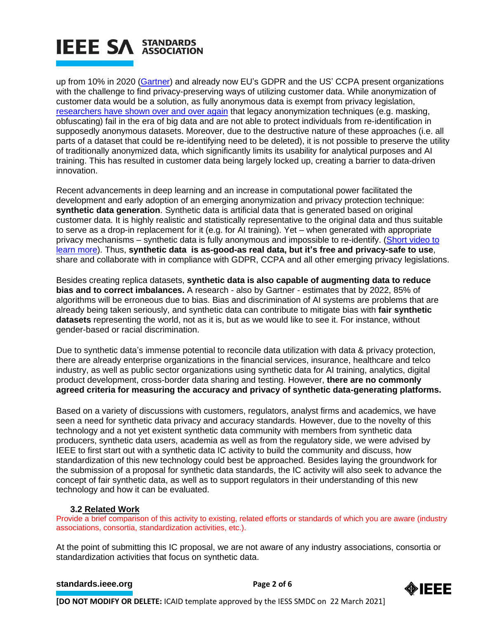up from 10% in 2020 [\(Gartner\)](https://www.gartner.com/en/newsroom/press-releases/2020-09-14-gartner-says-by-2023--65--of-the-world-s-population-w) and already now EU's GDPR and the US' CCPA present organizations with the challenge to find privacy-preserving ways of utilizing customer data. While anonymization of customer data would be a solution, as fully anonymous data is exempt from privacy legislation, [researchers have shown over and over again](https://www.theguardian.com/technology/2019/jul/23/anonymised-data-never-be-anonymous-enough-study-finds) that legacy anonymization techniques (e.g. masking, obfuscating) fail in the era of big data and are not able to protect individuals from re-identification in supposedly anonymous datasets. Moreover, due to the destructive nature of these approaches (i.e. all parts of a dataset that could be re-identifying need to be deleted), it is not possible to preserve the utility of traditionally anonymized data, which significantly limits its usability for analytical purposes and AI training. This has resulted in customer data being largely locked up, creating a barrier to data-driven innovation.

Recent advancements in deep learning and an increase in computational power facilitated the development and early adoption of an emerging anonymization and privacy protection technique: **synthetic data generation**. Synthetic data is artificial data that is generated based on original customer data. It is highly realistic and statistically representative to the original data and thus suitable to serve as a drop-in replacement for it (e.g. for AI training). Yet – when generated with appropriate privacy mechanisms – synthetic data is fully anonymous and impossible to re-identify. [\(Short video to](https://www.youtube.com/watch?v=pdgNF4s1D3I&t=99s)  [learn more\)](https://www.youtube.com/watch?v=pdgNF4s1D3I&t=99s). Thus, **synthetic data is as-good-as real data, but it's free and privacy-safe to use**, share and collaborate with in compliance with GDPR, CCPA and all other emerging privacy legislations.

Besides creating replica datasets, **synthetic data is also capable of augmenting data to reduce bias and to correct imbalances.** A research - also by Gartner - estimates that by 2022, 85% of algorithms will be erroneous due to bias. Bias and discrimination of AI systems are problems that are already being taken seriously, and synthetic data can contribute to mitigate bias with **fair synthetic datasets** representing the world, not as it is, but as we would like to see it. For instance, without gender-based or racial discrimination.

Due to synthetic data's immense potential to reconcile data utilization with data & privacy protection, there are already enterprise organizations in the financial services, insurance, healthcare and telco industry, as well as public sector organizations using synthetic data for AI training, analytics, digital product development, cross-border data sharing and testing. However, **there are no commonly agreed criteria for measuring the accuracy and privacy of synthetic data-generating platforms.**

Based on a variety of discussions with customers, regulators, analyst firms and academics, we have seen a need for synthetic data privacy and accuracy standards. However, due to the novelty of this technology and a not yet existent synthetic data community with members from synthetic data producers, synthetic data users, academia as well as from the regulatory side, we were advised by IEEE to first start out with a synthetic data IC activity to build the community and discuss, how standardization of this new technology could best be approached. Besides laying the groundwork for the submission of a proposal for synthetic data standards, the IC activity will also seek to advance the concept of fair synthetic data, as well as to support regulators in their understanding of this new technology and how it can be evaluated.

# **3.2 Related Work**

Provide a brief comparison of this activity to existing, related efforts or standards of which you are aware (industry associations, consortia, standardization activities, etc.).

At the point of submitting this IC proposal, we are not aware of any industry associations, consortia or standardization activities that focus on synthetic data.

# **[standards.ieee.org](http://standards.ieee.org/)**<br> **Page 2 of 6**

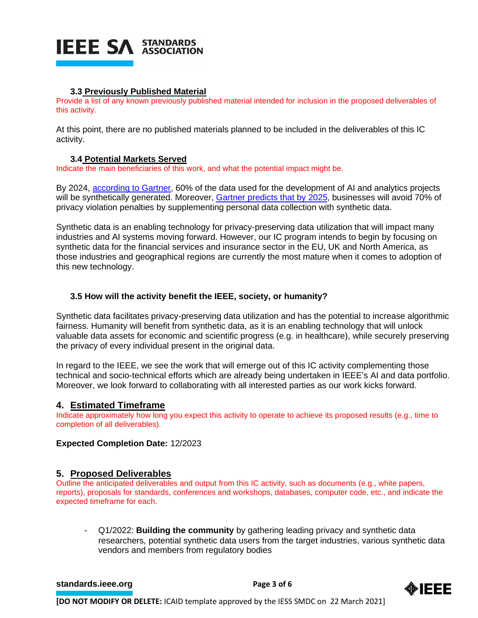# **3.3 Previously Published Material**

Provide a list of any known previously published material intended for inclusion in the proposed deliverables of this activity.

At this point, there are no published materials planned to be included in the deliverables of this IC activity.

# **3.4 Potential Markets Served**

Indicate the main beneficiaries of this work, and what the potential impact might be.

By 2024, according [to Gartner,](https://blogs.gartner.com/andrew_white/2021/07/24/by-2024-60-of-the-data-used-for-the-development-of-ai-and-analytics-projects-will-be-synthetically-generated/) 60% of the data used for the development of AI and analytics projects will be synthetically generated. Moreover, [Gartner predicts](https://www.ciodive.com/news/IT-predictions-Gartner-2022/608517/) that by 2025, businesses will avoid 70% of privacy violation penalties by supplementing personal data collection with synthetic data.

Synthetic data is an enabling technology for privacy-preserving data utilization that will impact many industries and AI systems moving forward. However, our IC program intends to begin by focusing on synthetic data for the financial services and insurance sector in the EU, UK and North America, as those industries and geographical regions are currently the most mature when it comes to adoption of this new technology.

# **3.5 How will the activity benefit the IEEE, society, or humanity?**

Synthetic data facilitates privacy-preserving data utilization and has the potential to increase algorithmic fairness. Humanity will benefit from synthetic data, as it is an enabling technology that will unlock valuable data assets for economic and scientific progress (e.g. in healthcare), while securely preserving the privacy of every individual present in the original data.

In regard to the IEEE, we see the work that will emerge out of this IC activity complementing those technical and socio-technical efforts which are already being undertaken in IEEE's AI and data portfolio. Moreover, we look forward to collaborating with all interested parties as our work kicks forward.

# **4. Estimated Timeframe**

Indicate approximately how long you expect this activity to operate to achieve its proposed results (e.g., time to completion of all deliverables).

# **Expected Completion Date:** 12/2023

# **5. Proposed Deliverables**

Outline the anticipated deliverables and output from this IC activity, such as documents (e.g., white papers, reports), proposals for standards, conferences and workshops, databases, computer code, etc., and indicate the expected timeframe for each.

- Q1/2022: **Building the community** by gathering leading privacy and synthetic data researchers, potential synthetic data users from the target industries, various synthetic data vendors and members from regulatory bodies

#### **[standards.ieee.org](http://standards.ieee.org/)**<br> **Page 3 of 6**

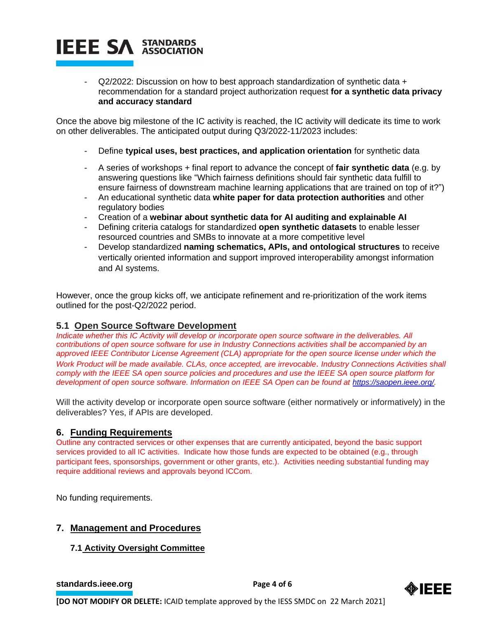$Q2/2022$ : Discussion on how to best approach standardization of synthetic data  $+$ recommendation for a standard project authorization request **for a synthetic data privacy and accuracy standard**

Once the above big milestone of the IC activity is reached, the IC activity will dedicate its time to work on other deliverables. The anticipated output during Q3/2022-11/2023 includes:

- Define **typical uses, best practices, and application orientation** for synthetic data
- A series of workshops + final report to advance the concept of **fair synthetic data** (e.g. by answering questions like "Which fairness definitions should fair synthetic data fulfill to ensure fairness of downstream machine learning applications that are trained on top of it?")
- An educational synthetic data **white paper for data protection authorities** and other regulatory bodies
- Creation of a **webinar about synthetic data for AI auditing and explainable AI**
- Defining criteria catalogs for standardized **open synthetic datasets** to enable lesser resourced countries and SMBs to innovate at a more competitive level
- Develop standardized **naming schematics, APIs, and ontological structures** to receive vertically oriented information and support improved interoperability amongst information and AI systems.

However, once the group kicks off, we anticipate refinement and re-prioritization of the work items outlined for the post-Q2/2022 period.

# **5.1 Open Source Software Development**

*Indicate whether this IC Activity will develop or incorporate open source software in the deliverables. All contributions of open source software for use in Industry Connections activities shall be accompanied by an approved IEEE Contributor License Agreement (CLA) appropriate for the open source license under which the Work Product will be made available. CLAs, once accepted, are irrevocable. Industry Connections Activities shall comply with the IEEE SA open source policies and procedures and use the IEEE SA open source platform for development of open source software. Information on IEEE SA Open can be found at [https://saopen.ieee.org/.](https://saopen.ieee.org/)* 

Will the activity develop or incorporate open source software (either normatively or informatively) in the deliverables? Yes, if APIs are developed.

# **6. Funding Requirements**

Outline any contracted services or other expenses that are currently anticipated, beyond the basic support services provided to all IC activities. Indicate how those funds are expected to be obtained (e.g., through participant fees, sponsorships, government or other grants, etc.). Activities needing substantial funding may require additional reviews and approvals beyond ICCom.

No funding requirements.

# **7. Management and Procedures**

# **7.1 Activity Oversight Committee**

**[standards.ieee.org](http://standards.ieee.org/) Brandards.ieee.org Brandards.ieee.org Brandards.ieee.org Brandards.ieee.org Brandards.ieee.org Brandards.ieee.org Brandards.ieee.org Brandards.ieee.org Brandards.ieee.org Brandards.i** 

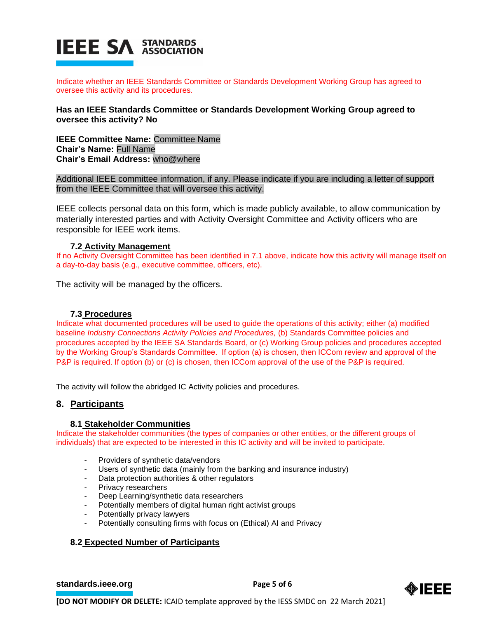

Indicate whether an IEEE Standards Committee or Standards Development Working Group has agreed to oversee this activity and its procedures.

**Has an IEEE Standards Committee or Standards Development Working Group agreed to oversee this activity? No**

**IEEE Committee Name:** Committee Name **Chair's Name:** Full Name **Chair's Email Address:** who@where

Additional IEEE committee information, if any. Please indicate if you are including a letter of support from the IEEE Committee that will oversee this activity.

IEEE collects personal data on this form, which is made publicly available, to allow communication by materially interested parties and with Activity Oversight Committee and Activity officers who are responsible for IEEE work items.

#### **7.2 Activity Management**

If no Activity Oversight Committee has been identified in 7.1 above, indicate how this activity will manage itself on a day-to-day basis (e.g., executive committee, officers, etc).

The activity will be managed by the officers.

#### **7.3 Procedures**

Indicate what documented procedures will be used to guide the operations of this activity; either (a) modified baseline *Industry Connections Activity Policies and Procedures,* (b) Standards Committee policies and procedures accepted by the IEEE SA Standards Board, or (c) Working Group policies and procedures accepted by the Working Group's Standards Committee. If option (a) is chosen, then ICCom review and approval of the P&P is required. If option (b) or (c) is chosen, then ICCom approval of the use of the P&P is required.

The activity will follow the abridged IC Activity policies and procedures.

# **8. Participants**

#### **8.1 Stakeholder Communities**

Indicate the stakeholder communities (the types of companies or other entities, or the different groups of individuals) that are expected to be interested in this IC activity and will be invited to participate.

- Providers of synthetic data/vendors
- Users of synthetic data (mainly from the banking and insurance industry)
- Data protection authorities & other regulators
- Privacy researchers
- Deep Learning/synthetic data researchers
- Potentially members of digital human right activist groups
- Potentially privacy lawyers
- Potentially consulting firms with focus on (Ethical) AI and Privacy

#### **8.2 Expected Number of Participants**

**[standards.ieee.org](http://standards.ieee.org/) EXECUTE: Page 5 of 6**